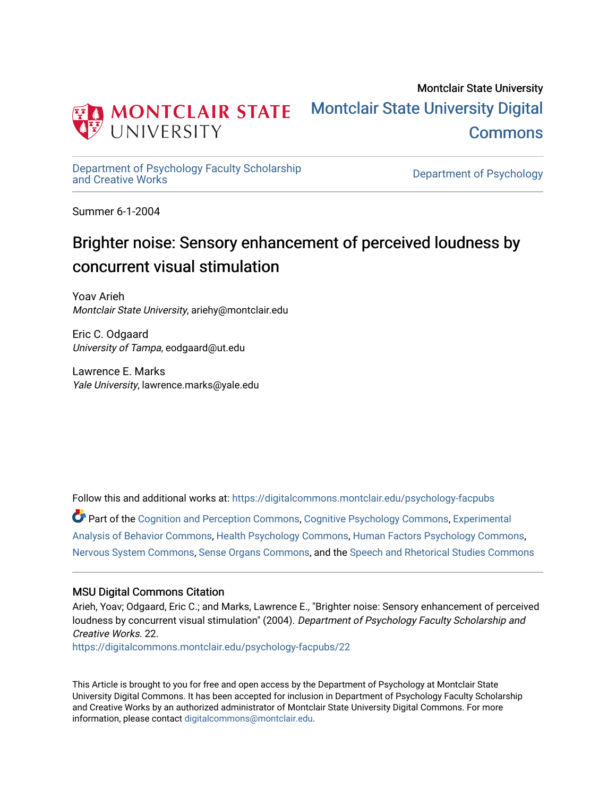

Montclair State University [Montclair State University Digital](https://digitalcommons.montclair.edu/)  [Commons](https://digitalcommons.montclair.edu/) 

[Department of Psychology Faculty Scholarship](https://digitalcommons.montclair.edu/psychology-facpubs) 

Department of Psychology

Summer 6-1-2004

# Brighter noise: Sensory enhancement of perceived loudness by concurrent visual stimulation

Yoav Arieh Montclair State University, ariehy@montclair.edu

Eric C. Odgaard University of Tampa, eodgaard@ut.edu

Lawrence E. Marks Yale University, lawrence.marks@yale.edu

Follow this and additional works at: [https://digitalcommons.montclair.edu/psychology-facpubs](https://digitalcommons.montclair.edu/psychology-facpubs?utm_source=digitalcommons.montclair.edu%2Fpsychology-facpubs%2F22&utm_medium=PDF&utm_campaign=PDFCoverPages) 

Part of the [Cognition and Perception Commons,](http://network.bepress.com/hgg/discipline/407?utm_source=digitalcommons.montclair.edu%2Fpsychology-facpubs%2F22&utm_medium=PDF&utm_campaign=PDFCoverPages) [Cognitive Psychology Commons](http://network.bepress.com/hgg/discipline/408?utm_source=digitalcommons.montclair.edu%2Fpsychology-facpubs%2F22&utm_medium=PDF&utm_campaign=PDFCoverPages), [Experimental](http://network.bepress.com/hgg/discipline/1236?utm_source=digitalcommons.montclair.edu%2Fpsychology-facpubs%2F22&utm_medium=PDF&utm_campaign=PDFCoverPages)  [Analysis of Behavior Commons,](http://network.bepress.com/hgg/discipline/1236?utm_source=digitalcommons.montclair.edu%2Fpsychology-facpubs%2F22&utm_medium=PDF&utm_campaign=PDFCoverPages) [Health Psychology Commons](http://network.bepress.com/hgg/discipline/411?utm_source=digitalcommons.montclair.edu%2Fpsychology-facpubs%2F22&utm_medium=PDF&utm_campaign=PDFCoverPages), [Human Factors Psychology Commons](http://network.bepress.com/hgg/discipline/1412?utm_source=digitalcommons.montclair.edu%2Fpsychology-facpubs%2F22&utm_medium=PDF&utm_campaign=PDFCoverPages), [Nervous System Commons](http://network.bepress.com/hgg/discipline/949?utm_source=digitalcommons.montclair.edu%2Fpsychology-facpubs%2F22&utm_medium=PDF&utm_campaign=PDFCoverPages), [Sense Organs Commons,](http://network.bepress.com/hgg/discipline/927?utm_source=digitalcommons.montclair.edu%2Fpsychology-facpubs%2F22&utm_medium=PDF&utm_campaign=PDFCoverPages) and the [Speech and Rhetorical Studies Commons](http://network.bepress.com/hgg/discipline/338?utm_source=digitalcommons.montclair.edu%2Fpsychology-facpubs%2F22&utm_medium=PDF&utm_campaign=PDFCoverPages)

# MSU Digital Commons Citation

Arieh, Yoav; Odgaard, Eric C.; and Marks, Lawrence E., "Brighter noise: Sensory enhancement of perceived loudness by concurrent visual stimulation" (2004). Department of Psychology Faculty Scholarship and Creative Works. 22.

[https://digitalcommons.montclair.edu/psychology-facpubs/22](https://digitalcommons.montclair.edu/psychology-facpubs/22?utm_source=digitalcommons.montclair.edu%2Fpsychology-facpubs%2F22&utm_medium=PDF&utm_campaign=PDFCoverPages)

This Article is brought to you for free and open access by the Department of Psychology at Montclair State University Digital Commons. It has been accepted for inclusion in Department of Psychology Faculty Scholarship and Creative Works by an authorized administrator of Montclair State University Digital Commons. For more information, please contact [digitalcommons@montclair.edu](mailto:digitalcommons@montclair.edu).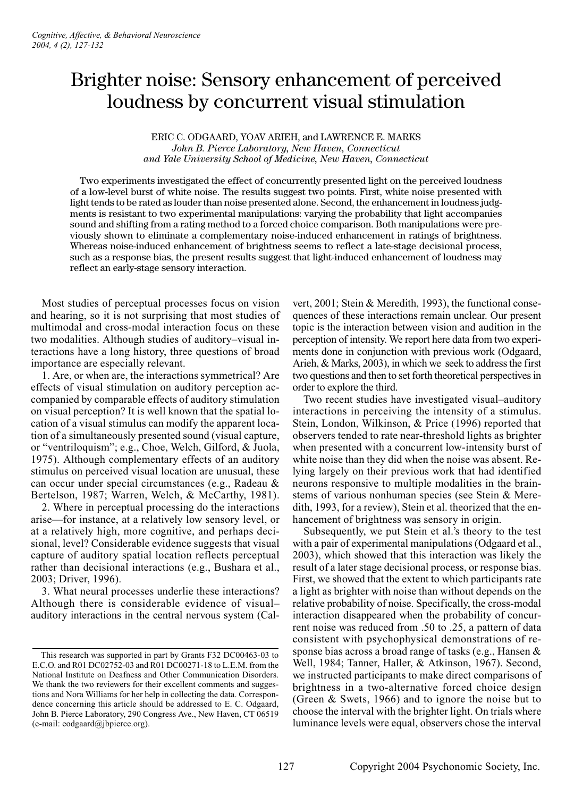# Brighter noise: Sensory enhancement of perceived loudness by concurrent visual stimulation

#### ERIC C. ODGAARD, YOAV ARIEH, and LAWRENCE E. MARKS *John B. Pierce Laboratory, New Haven, Connecticut and Yale University School of Medicine, New Haven, Connecticut*

Two experiments investigated the effect of concurrently presented light on the perceived loudness of a low-level burst of white noise. The results suggest two points. First, white noise presented with light tends to be rated as louder than noise presented alone. Second, the enhancement in loudness judgments is resistant to two experimental manipulations: varying the probability that light accompanies sound and shifting from a rating method to a forced choice comparison. Both manipulations were previously shown to eliminate a complementary noise-induced enhancement in ratings of brightness. Whereas noise-induced enhancement of brightness seems to reflect a late-stage decisional process, such as a response bias, the present results suggest that light-induced enhancement of loudness may reflect an early-stage sensory interaction.

Most studies of perceptual processes focus on vision and hearing, so it is not surprising that most studies of multimodal and cross-modal interaction focus on these two modalities. Although studies of auditory–visual interactions have a long history, three questions of broad importance are especially relevant.

1. Are, or when are, the interactions symmetrical? Are effects of visual stimulation on auditory perception accompanied by comparable effects of auditory stimulation on visual perception? It is well known that the spatial location of a visual stimulus can modify the apparent location of a simultaneously presented sound (visual capture, or "ventriloquism"; e.g., Choe, Welch, Gilford, & Juola, 1975). Although complementary effects of an auditory stimulus on perceived visual location are unusual, these can occur under special circumstances (e.g., Radeau & Bertelson, 1987; Warren, Welch, & McCarthy, 1981).

2. Where in perceptual processing do the interactions arise—for instance, at a relatively low sensory level, or at a relatively high, more cognitive, and perhaps decisional, level? Considerable evidence suggests that visual capture of auditory spatial location reflects perceptual rather than decisional interactions (e.g., Bushara et al., 2003; Driver, 1996).

3. What neural processes underlie these interactions? Although there is considerable evidence of visual– auditory interactions in the central nervous system (Calvert, 2001; Stein & Meredith, 1993), the functional consequences of these interactions remain unclear. Our present topic is the interaction between vision and audition in the perception of intensity. We report here data from two experiments done in conjunction with previous work (Odgaard, Arieh, & Marks, 2003), in which we seek to address the first two questions and then to set forth theoretical perspectives in order to explore the third.

Two recent studies have investigated visual–auditory interactions in perceiving the intensity of a stimulus. Stein, London, Wilkinson, & Price (1996) reported that observers tended to rate near-threshold lights as brighter when presented with a concurrent low-intensity burst of white noise than they did when the noise was absent. Relying largely on their previous work that had identified neurons responsive to multiple modalities in the brainstems of various nonhuman species (see Stein & Meredith, 1993, for a review), Stein et al. theorized that the enhancement of brightness was sensory in origin.

Subsequently, we put Stein et al.'s theory to the test with a pair of experimental manipulations (Odgaard et al., 2003), which showed that this interaction was likely the result of a later stage decisional process, or response bias. First, we showed that the extent to which participants rate a light as brighter with noise than without depends on the relative probability of noise. Specifically, the cross-modal interaction disappeared when the probability of concurrent noise was reduced from .50 to .25, a pattern of data consistent with psychophysical demonstrations of response bias across a broad range of tasks (e.g., Hansen & Well, 1984; Tanner, Haller, & Atkinson, 1967). Second, we instructed participants to make direct comparisons of brightness in a two-alternative forced choice design (Green & Swets, 1966) and to ignore the noise but to choose the interval with the brighter light. On trials where luminance levels were equal, observers chose the interval

This research was supported in part by Grants F32 DC00463-03 to E.C.O. and R01 DC02752-03 and R01 DC00271-18 to L.E.M. from the National Institute on Deafness and Other Communication Disorders. We thank the two reviewers for their excellent comments and suggestions and Nora Williams for her help in collecting the data. Correspondence concerning this article should be addressed to E. C. Odgaard, John B. Pierce Laboratory, 290 Congress Ave., New Haven, CT 06519 (e-mail: eodgaard@jbpierce.org).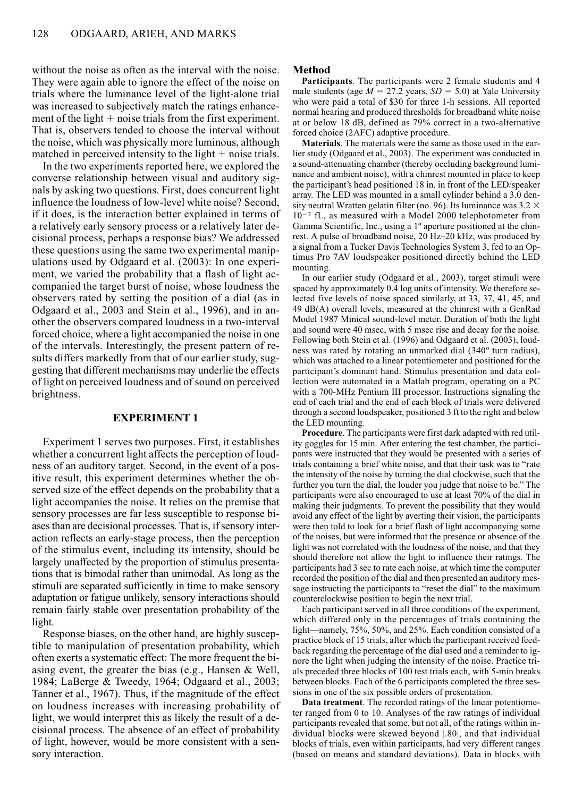without the noise as often as the interval with the noise. They were again able to ignore the effect of the noise on trials where the luminance level of the light-alone trial was increased to subjectively match the ratings enhancement of the light + noise trials from the first experiment. That is, observers tended to choose the interval without the noise, which was physically more luminous, although  $m$  matched in perceived intensity to the light  $+$  noise trials.

In the two experiments reported here, we explored the converse relationship between visual and auditory signals by asking two questions. First, does concurrent light influence the loudness of low-level white noise? Second, if it does, is the interaction better explained in terms of a relatively early sensory process or a relatively later decisional process, perhaps a response bias? We addressed these questions using the same two experimental manipulations used by Odgaard et al. (2003): In one experiment, we varied the probability that a flash of light accompanied the target burst of noise, whose loudness the observers rated by setting the position of a dial (as in Odgaard et al., 2003 and Stein et al., 1996), and in another the observers compared loudness in a two-interval forced choice, where a light accompanied the noise in one of the intervals. Interestingly, the present pattern of results differs markedly from that of our earlier study, suggesting that different mechanisms may underlie the effects of light on perceived loudness and of sound on perceived brightness.

## **EXPERIMENT 1**

Experiment 1 serves two purposes. First, it establishes whether a concurrent light affects the perception of loudness of an auditory target. Second, in the event of a positive result, this experiment determines whether the observed size of the effect depends on the probability that a light accompanies the noise. It relies on the premise that sensory processes are far less susceptible to response biases than are decisional processes. That is, if sensory interaction reflects an early-stage process, then the perception of the stimulus event, including its intensity, should be largely unaffected by the proportion of stimulus presentations that is bimodal rather than unimodal. As long as the stimuli are separated sufficiently in time to make sensory adaptation or fatigue unlikely, sensory interactions should remain fairly stable over presentation probability of the light.

Response biases, on the other hand, are highly susceptible to manipulation of presentation probability, which often exerts a systematic effect: The more frequent the biasing event, the greater the bias (e.g., Hansen & Well, 1984; LaBerge & Tweedy, 1964; Odgaard et al., 2003; Tanner et al., 1967). Thus, if the magnitude of the effect on loudness increases with increasing probability of light, we would interpret this as likely the result of a decisional process. The absence of an effect of probability of light, however, would be more consistent with a sensory interaction.

#### **Method**

**Participants**. The participants were 2 female students and 4 male students (age  $M = 27.2$  years,  $SD = 5.0$ ) at Yale University who were paid a total of \$30 for three 1-h sessions. All reported normal hearing and produced thresholds for broadband white noise at or below 18 dB, defined as 79% correct in a two-alternative forced choice (2AFC) adaptive procedure.

**Materials**. The materials were the same as those used in the earlier study (Odgaard et al., 2003). The experiment was conducted in a sound-attenuating chamber (thereby occluding background luminance and ambient noise), with a chinrest mounted in place to keep the participant's head positioned 18 in. in front of the LED/speaker array. The LED was mounted in a small cylinder behind a 3.0 density neutral Wratten gelatin filter (no. 96). Its luminance was  $3.2 \times$  $10^{-2}$  fL, as measured with a Model 2000 telephotometer from Gamma Scientific, Inc., using a 1º aperture positioned at the chinrest. A pulse of broadband noise, 20 Hz–20 kHz, was produced by a signal from a Tucker Davis Technologies System 3, fed to an Optimus Pro 7AV loudspeaker positioned directly behind the LED mounting.

In our earlier study (Odgaard et al., 2003), target stimuli were spaced by approximately 0.4 log units of intensity. We therefore selected five levels of noise spaced similarly, at 33, 37, 41, 45, and 49 dB(A) overall levels, measured at the chinrest with a GenRad Model 1987 Minical sound-level meter. Duration of both the light and sound were 40 msec, with 5 msec rise and decay for the noise. Following both Stein et al. (1996) and Odgaard et al. (2003), loudness was rated by rotating an unmarked dial (340º turn radius), which was attached to a linear potentiometer and positioned for the participant's dominant hand. Stimulus presentation and data collection were automated in a Matlab program, operating on a PC with a 700-MHz Pentium III processor. Instructions signaling the end of each trial and the end of each block of trials were delivered through a second loudspeaker, positioned 3 ft to the right and below the LED mounting.

**Procedure**. The participants were first dark adapted with red utility goggles for 15 min. After entering the test chamber, the participants were instructed that they would be presented with a series of trials containing a brief white noise, and that their task was to "rate the intensity of the noise by turning the dial clockwise, such that the further you turn the dial, the louder you judge that noise to be." The participants were also encouraged to use at least 70% of the dial in making their judgments. To prevent the possibility that they would avoid any effect of the light by averting their vision, the participants were then told to look for a brief flash of light accompanying some of the noises, but were informed that the presence or absence of the light was not correlated with the loudness of the noise, and that they should therefore not allow the light to influence their ratings. The participants had 3 sec to rate each noise, at which time the computer recorded the position of the dial and then presented an auditory message instructing the participants to "reset the dial" to the maximum counterclockwise position to begin the next trial.

Each participant served in all three conditions of the experiment, which differed only in the percentages of trials containing the light—namely, 75%, 50%, and 25%. Each condition consisted of a practice block of 15 trials, after which the participant received feedback regarding the percentage of the dial used and a reminder to ignore the light when judging the intensity of the noise. Practice trials preceded three blocks of 100 test trials each, with 5-min breaks between blocks. Each of the 6 participants completed the three sessions in one of the six possible orders of presentation.

**Data treatment**. The recorded ratings of the linear potentiometer ranged from 0 to 10. Analyses of the raw ratings of individual participants revealed that some, but not all, of the ratings within individual blocks were skewed beyond |.80|, and that individual blocks of trials, even within participants, had very different ranges (based on means and standard deviations). Data in blocks with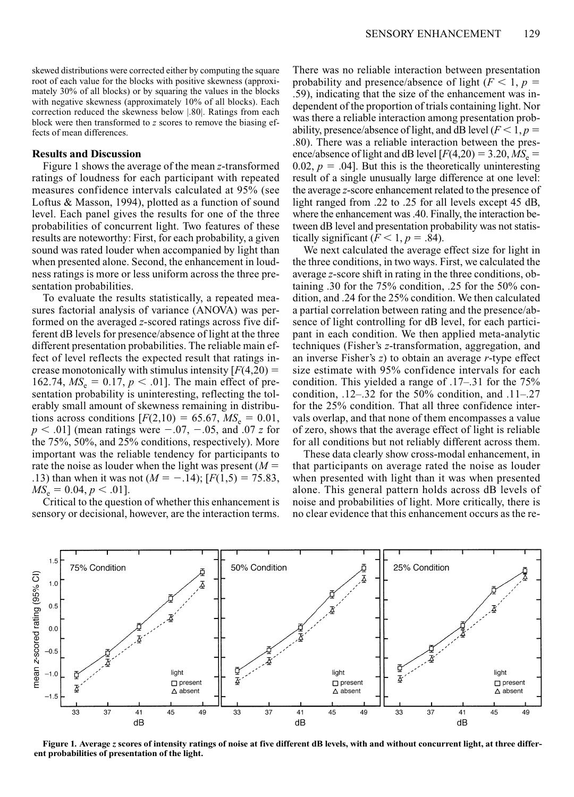skewed distributions were corrected either by computing the square root of each value for the blocks with positive skewness (approximately 30% of all blocks) or by squaring the values in the blocks with negative skewness (approximately 10% of all blocks). Each correction reduced the skewness below |.80|. Ratings from each block were then transformed to *z* scores to remove the biasing effects of mean differences.

### **Results and Discussion**

Figure 1 shows the average of the mean *z*-transformed ratings of loudness for each participant with repeated measures confidence intervals calculated at 95% (see Loftus & Masson, 1994), plotted as a function of sound level. Each panel gives the results for one of the three probabilities of concurrent light. Two features of these results are noteworthy: First, for each probability, a given sound was rated louder when accompanied by light than when presented alone. Second, the enhancement in loudness ratings is more or less uniform across the three presentation probabilities.

To evaluate the results statistically, a repeated measures factorial analysis of variance (ANOVA) was performed on the averaged *z*-scored ratings across five different dB levels for presence/absence of light at the three different presentation probabilities. The reliable main effect of level reflects the expected result that ratings increase monotonically with stimulus intensity  $[F(4,20) =$ 162.74,  $MS_e = 0.17$ ,  $p < .01$ ]. The main effect of presentation probability is uninteresting, reflecting the tolerably small amount of skewness remaining in distributions across conditions  $[F(2,10) = 65.67, MS_e = 0.01,$  $p < .01$ ] (mean ratings were  $-.07, -.05$ , and  $.07 z$  for the 75%, 50%, and 25% conditions, respectively). More important was the reliable tendency for participants to rate the noise as louder when the light was present (*M* .13) than when it was not  $(M = -.14)$ ;  $[F(1,5) = 75.83,$  $MS_e = 0.04, p < .01$ .

Critical to the question of whether this enhancement is sensory or decisional, however, are the interaction terms.

There was no reliable interaction between presentation probability and presence/absence of light ( $F < 1$ ,  $p =$ .59), indicating that the size of the enhancement was independent of the proportion of trials containing light. Nor was there a reliable interaction among presentation probability, presence/absence of light, and dB level  $(F < 1, p = 1)$ .80). There was a reliable interaction between the presence/absence of light and dB level  $[F(4,20) = 3.20, MS_e =$ 0.02,  $p = .04$ . But this is the theoretically uninteresting result of a single unusually large difference at one level: the average *z*-score enhancement related to the presence of light ranged from .22 to .25 for all levels except 45 dB, where the enhancement was .40. Finally, the interaction between dB level and presentation probability was not statistically significant  $(F < 1, p = .84)$ .

We next calculated the average effect size for light in the three conditions, in two ways. First, we calculated the average *z*-score shift in rating in the three conditions, obtaining .30 for the 75% condition, .25 for the 50% condition, and .24 for the 25% condition. We then calculated a partial correlation between rating and the presence/absence of light controlling for dB level, for each participant in each condition. We then applied meta-analytic techniques (Fisher's *z*-transformation, aggregation, and an inverse Fisher's *z*) to obtain an average *r*-type effect size estimate with 95% confidence intervals for each condition. This yielded a range of .17–.31 for the 75% condition, .12–.32 for the 50% condition, and .11–.27 for the 25% condition. That all three confidence intervals overlap, and that none of them encompasses a value of zero, shows that the average effect of light is reliable for all conditions but not reliably different across them.

These data clearly show cross-modal enhancement, in that participants on average rated the noise as louder when presented with light than it was when presented alone. This general pattern holds across dB levels of noise and probabilities of light. More critically, there is no clear evidence that this enhancement occurs as the re-



**Figure 1***.* **Average** *z* **scores of intensity ratings of noise at five different dB levels, with and without concurrent light, at three different probabilities of presentation of the light.**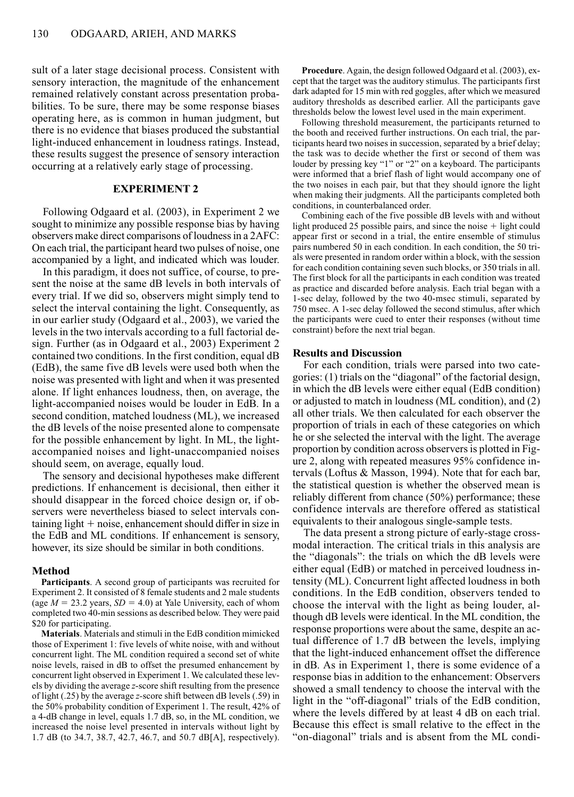sult of a later stage decisional process. Consistent with sensory interaction, the magnitude of the enhancement remained relatively constant across presentation probabilities. To be sure, there may be some response biases operating here, as is common in human judgment, but there is no evidence that biases produced the substantial light-induced enhancement in loudness ratings. Instead, these results suggest the presence of sensory interaction occurring at a relatively early stage of processing.

# **EXPERIMENT 2**

Following Odgaard et al. (2003), in Experiment 2 we sought to minimize any possible response bias by having observers make direct comparisons of loudness in a 2AFC: On each trial, the participant heard two pulses of noise, one accompanied by a light, and indicated which was louder.

In this paradigm, it does not suffice, of course, to present the noise at the same dB levels in both intervals of every trial. If we did so, observers might simply tend to select the interval containing the light. Consequently, as in our earlier study (Odgaard et al., 2003), we varied the levels in the two intervals according to a full factorial design. Further (as in Odgaard et al., 2003) Experiment 2 contained two conditions. In the first condition, equal dB (EdB), the same five dB levels were used both when the noise was presented with light and when it was presented alone. If light enhances loudness, then, on average, the light-accompanied noises would be louder in EdB. In a second condition, matched loudness (ML), we increased the dB levels of the noise presented alone to compensate for the possible enhancement by light. In ML, the lightaccompanied noises and light-unaccompanied noises should seem, on average, equally loud.

The sensory and decisional hypotheses make different predictions. If enhancement is decisional, then either it should disappear in the forced choice design or, if observers were nevertheless biased to select intervals containing light + noise, enhancement should differ in size in the EdB and ML conditions. If enhancement is sensory, however, its size should be similar in both conditions.

#### **Method**

**Participants**. A second group of participants was recruited for Experiment 2. It consisted of 8 female students and 2 male students (age  $M = 23.2$  years,  $SD = 4.0$ ) at Yale University, each of whom completed two 40-min sessions as described below. They were paid \$20 for participating.

**Materials**. Materials and stimuli in the EdB condition mimicked those of Experiment 1: five levels of white noise, with and without concurrent light. The ML condition required a second set of white noise levels, raised in dB to offset the presumed enhancement by concurrent light observed in Experiment 1. We calculated these levels by dividing the average *z*-score shift resulting from the presence of light (.25) by the average *z-*score shift between dB levels (.59) in the 50% probability condition of Experiment 1. The result, 42% of a 4-dB change in level, equals 1.7 dB, so, in the ML condition, we increased the noise level presented in intervals without light by 1.7 dB (to 34.7, 38.7, 42.7, 46.7, and 50.7 dB[A], respectively).

**Procedure**. Again, the design followed Odgaard et al. (2003), except that the target was the auditory stimulus. The participants first dark adapted for 15 min with red goggles, after which we measured auditory thresholds as described earlier. All the participants gave thresholds below the lowest level used in the main experiment.

Following threshold measurement, the participants returned to the booth and received further instructions. On each trial, the participants heard two noises in succession, separated by a brief delay; the task was to decide whether the first or second of them was louder by pressing key "1" or "2" on a keyboard. The participants were informed that a brief flash of light would accompany one of the two noises in each pair, but that they should ignore the light when making their judgments. All the participants completed both conditions, in counterbalanced order.

Combining each of the five possible dB levels with and without light produced 25 possible pairs, and since the noise  $+$  light could appear first or second in a trial, the entire ensemble of stimulus pairs numbered 50 in each condition. In each condition, the 50 trials were presented in random order within a block, with the session for each condition containing seven such blocks, or 350 trials in all. The first block for all the participants in each condition was treated as practice and discarded before analysis. Each trial began with a 1-sec delay, followed by the two 40-msec stimuli, separated by 750 msec. A 1-sec delay followed the second stimulus, after which the participants were cued to enter their responses (without time constraint) before the next trial began.

#### **Results and Discussion**

For each condition, trials were parsed into two categories: (1) trials on the "diagonal" of the factorial design, in which the dB levels were either equal (EdB condition) or adjusted to match in loudness (ML condition), and (2) all other trials. We then calculated for each observer the proportion of trials in each of these categories on which he or she selected the interval with the light. The average proportion by condition across observers is plotted in Figure 2, along with repeated measures 95% confidence intervals (Loftus & Masson, 1994). Note that for each bar, the statistical question is whether the observed mean is reliably different from chance (50%) performance; these confidence intervals are therefore offered as statistical equivalents to their analogous single-sample tests.

The data present a strong picture of early-stage crossmodal interaction. The critical trials in this analysis are the "diagonals": the trials on which the dB levels were either equal (EdB) or matched in perceived loudness intensity (ML). Concurrent light affected loudness in both conditions. In the EdB condition, observers tended to choose the interval with the light as being louder, although dB levels were identical. In the ML condition, the response proportions were about the same, despite an actual difference of 1.7 dB between the levels, implying that the light-induced enhancement offset the difference in dB. As in Experiment 1, there is some evidence of a response bias in addition to the enhancement: Observers showed a small tendency to choose the interval with the light in the "off-diagonal" trials of the EdB condition, where the levels differed by at least 4 dB on each trial. Because this effect is small relative to the effect in the "on-diagonal" trials and is absent from the ML condi-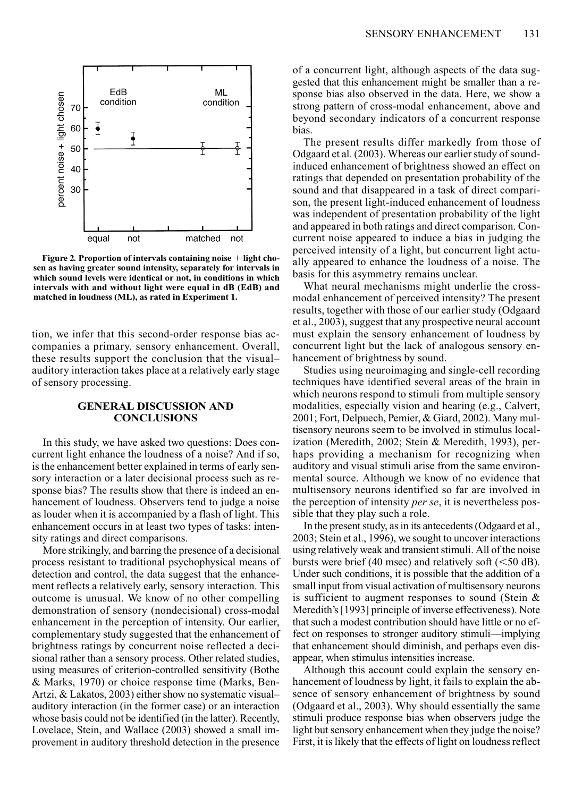

Figure 2. Proportion of intervals containing noise + light cho**sen as having greater sound intensity, separately for intervals in which sound levels were identical or not, in conditions in which intervals with and without light were equal in dB (EdB) and matched in loudness (ML), as rated in Experiment 1.**

tion, we infer that this second-order response bias accompanies a primary, sensory enhancement. Overall, these results support the conclusion that the visual– auditory interaction takes place at a relatively early stage of sensory processing.

## **GENERAL DISCUSSION AND CONCLUSIONS**

In this study, we have asked two questions: Does concurrent light enhance the loudness of a noise? And if so, is the enhancement better explained in terms of early sensory interaction or a later decisional process such as response bias? The results show that there is indeed an enhancement of loudness. Observers tend to judge a noise as louder when it is accompanied by a flash of light. This enhancement occurs in at least two types of tasks: intensity ratings and direct comparisons.

More strikingly, and barring the presence of a decisional process resistant to traditional psychophysical means of detection and control, the data suggest that the enhancement reflects a relatively early, sensory interaction. This outcome is unusual. We know of no other compelling demonstration of sensory (nondecisional) cross-modal enhancement in the perception of intensity. Our earlier, complementary study suggested that the enhancement of brightness ratings by concurrent noise reflected a decisional rather than a sensory process. Other related studies, using measures of criterion-controlled sensitivity (Bothe & Marks, 1970) or choice response time (Marks, Ben-Artzi, & Lakatos, 2003) either show no systematic visual– auditory interaction (in the former case) or an interaction whose basis could not be identified (in the latter). Recently, Lovelace, Stein, and Wallace (2003) showed a small improvement in auditory threshold detection in the presence

of a concurrent light, although aspects of the data suggested that this enhancement might be smaller than a response bias also observed in the data. Here, we show a strong pattern of cross-modal enhancement, above and beyond secondary indicators of a concurrent response bias.

The present results differ markedly from those of Odgaard et al. (2003). Whereas our earlier study of soundinduced enhancement of brightness showed an effect on ratings that depended on presentation probability of the sound and that disappeared in a task of direct comparison, the present light-induced enhancement of loudness was independent of presentation probability of the light and appeared in both ratings and direct comparison. Concurrent noise appeared to induce a bias in judging the perceived intensity of a light, but concurrent light actually appeared to enhance the loudness of a noise. The basis for this asymmetry remains unclear.

What neural mechanisms might underlie the crossmodal enhancement of perceived intensity? The present results, together with those of our earlier study (Odgaard et al., 2003), suggest that any prospective neural account must explain the sensory enhancement of loudness by concurrent light but the lack of analogous sensory enhancement of brightness by sound.

Studies using neuroimaging and single-cell recording techniques have identified several areas of the brain in which neurons respond to stimuli from multiple sensory modalities, especially vision and hearing (e.g., Calvert, 2001; Fort, Delpuech, Pemier, & Giard, 2002). Many multisensory neurons seem to be involved in stimulus localization (Meredith, 2002; Stein & Meredith, 1993), perhaps providing a mechanism for recognizing when auditory and visual stimuli arise from the same environmental source. Although we know of no evidence that multisensory neurons identified so far are involved in the perception of intensity *per se*, it is nevertheless possible that they play such a role.

In the present study, as in its antecedents (Odgaard et al., 2003; Stein et al., 1996), we sought to uncover interactions using relatively weak and transient stimuli. All of the noise bursts were brief (40 msec) and relatively soft ( $\leq$ 50 dB). Under such conditions, it is possible that the addition of a small input from visual activation of multisensory neurons is sufficient to augment responses to sound (Stein & Meredith's [1993] principle of inverse effectiveness). Note that such a modest contribution should have little or no effect on responses to stronger auditory stimuli—implying that enhancement should diminish, and perhaps even disappear, when stimulus intensities increase.

Although this account could explain the sensory enhancement of loudness by light, it fails to explain the absence of sensory enhancement of brightness by sound (Odgaard et al., 2003). Why should essentially the same stimuli produce response bias when observers judge the light but sensory enhancement when they judge the noise? First, it is likely that the effects of light on loudness reflect